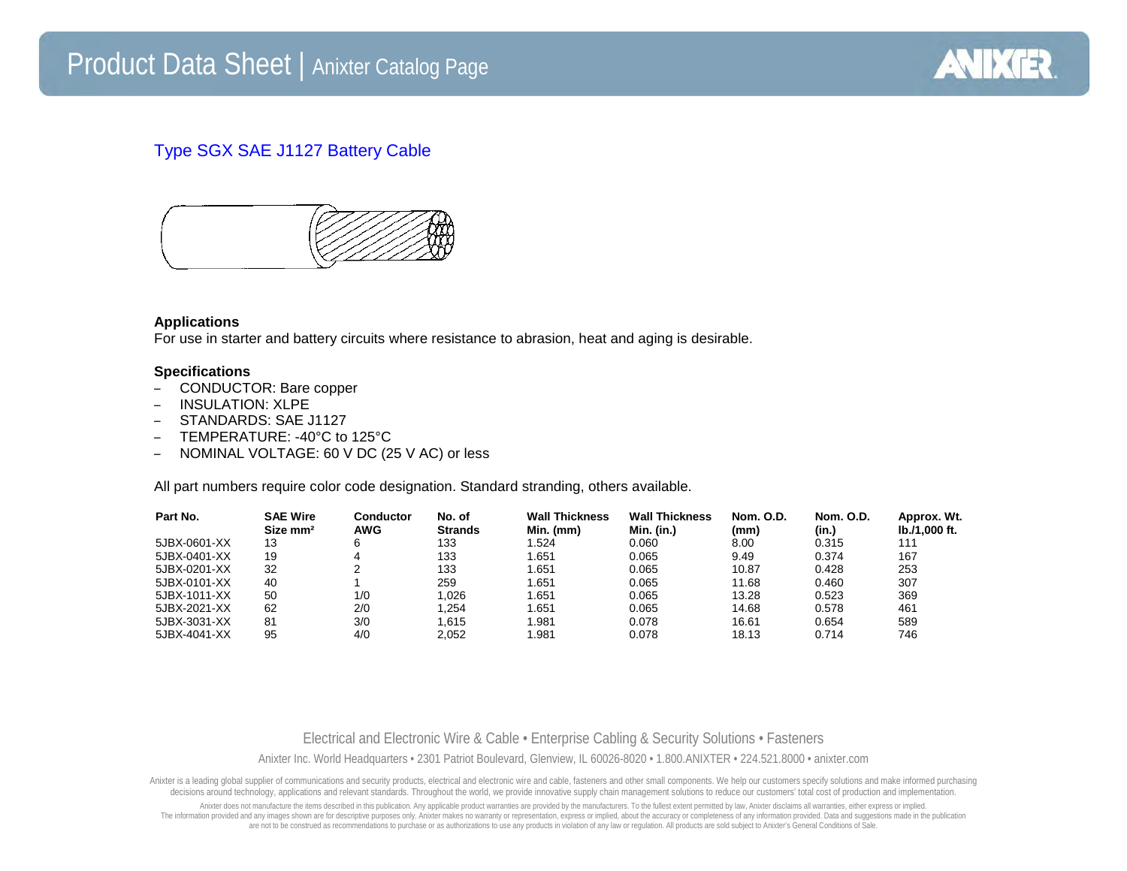

## Type SGX SAE J1127 Battery Cable



## **Applications**

For use in starter and battery circuits where resistance to abrasion, heat and aging is desirable.

## **Specifications**

- CONDUCTOR: Bare copper
- INSULATION: XLPE
- STANDARDS: SAE J1127
- TEMPERATURE: -40°C to 125°C
- NOMINAL VOLTAGE: 60 V DC (25 V AC) or less

All part numbers require color code designation. Standard stranding, others available.

| Part No.     | <b>SAE Wire</b><br>Size mm <sup>2</sup> | Conductor<br><b>AWG</b> | No. of<br><b>Strands</b> | <b>Wall Thickness</b><br>Min. (mm) | <b>Wall Thickness</b><br>Min. (in.) | <b>Nom. O.D.</b><br>(mm) | <b>Nom. O.D.</b><br>(in.) | Approx. Wt.<br>lb./1,000 ft. |
|--------------|-----------------------------------------|-------------------------|--------------------------|------------------------------------|-------------------------------------|--------------------------|---------------------------|------------------------------|
| 5JBX-0601-XX | 13                                      | 6                       | 133                      | 1.524                              | 0.060                               | 8.00                     | 0.315                     | 111                          |
| 5JBX-0401-XX | 19                                      | 4                       | 133                      | 1.651                              | 0.065                               | 9.49                     | 0.374                     | 167                          |
| 5JBX-0201-XX | 32                                      |                         | 133                      | 1.651                              | 0.065                               | 10.87                    | 0.428                     | 253                          |
| 5JBX-0101-XX | 40                                      |                         | 259                      | 1.651                              | 0.065                               | 11.68                    | 0.460                     | 307                          |
| 5JBX-1011-XX | 50                                      | 1/0                     | 1.026                    | 1.651                              | 0.065                               | 13.28                    | 0.523                     | 369                          |
| 5JBX-2021-XX | 62                                      | 2/0                     | 1.254                    | 1.651                              | 0.065                               | 14.68                    | 0.578                     | 461                          |
| 5JBX-3031-XX | 81                                      | 3/0                     | 1.615                    | 1.981                              | 0.078                               | 16.61                    | 0.654                     | 589                          |
| 5JBX-4041-XX | 95                                      | 4/0                     | 2.052                    | 1.981                              | 0.078                               | 18.13                    | 0.714                     | 746                          |

Electrical and Electronic Wire & Cable • Enterprise Cabling & Security Solutions • Fasteners Anixter Inc. World Headquarters • 2301 Patriot Boulevard, Glenview, IL 60026-8020 • 1.800.ANIXTER • 224.521.8000 • anixter.com

Anixter is a leading global supplier of communications and security products, electrical and electronic wire and cable, fasteners and other small components. We help our customers specify solutions and make informed purcha decisions around technology, applications and relevant standards. Throughout the world, we provide innovative supply chain management solutions to reduce our customers' total cost of production and implementation.

Anixter does not manufacture the items described in this publication. Any applicable product warranties are provided by the manufacturers. To the fullest extent permitted by law, Anixter disclaims all warranties, either ex The information provided and any images shown are for descriptive purposes only. Anixter makes no warranty or representation, express or implied, about the accuracy or completeness of any information provided. Data and sug are not to be construed as recommendations to purchase or as authorizations to use any products in violation of any law or regulation. All products are sold subject to Anixter's General Conditions of Sale.